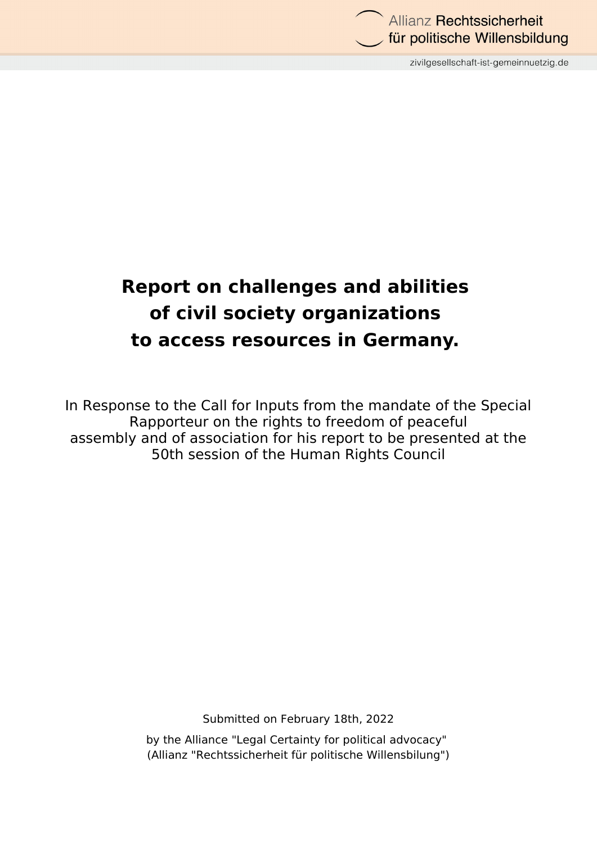

zivilgesellschaft-ist-gemeinnuetzig.de

# **Report on challenges and abilities of civil society organizations to access resources in Germany.**

In Response to the Call for Inputs from the mandate of the Special Rapporteur on the rights to freedom of peaceful assembly and of association for his report to be presented at the 50th session of the Human Rights Council

Submitted on February 18th, 2022

by the Alliance "Legal Certainty for political advocacy" (Allianz "Rechtssicherheit für politische Willensbilung")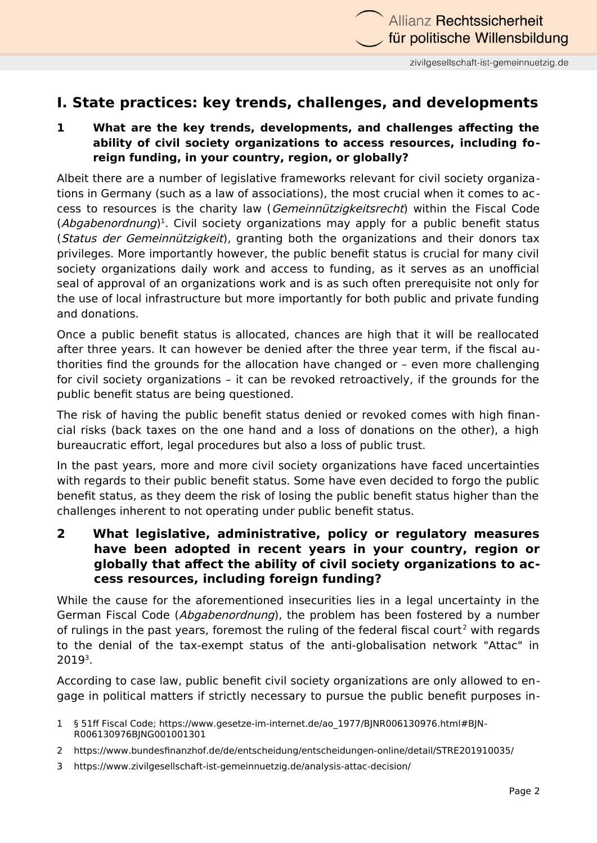# **I. State practices: key trends, challenges, and developments**

#### **1 What are the key trends, developments, and challenges affecting the ability of civil society organizations to access resources, including foreign funding, in your country, region, or globally?**

Albeit there are a number of legislative frameworks relevant for civil society organizations in Germany (such as a law of associations), the most crucial when it comes to access to resources is the charity law (Gemeinnützigkeitsrecht) within the Fiscal Code (Abgabenordnung)<sup>[1](#page-1-0)</sup>. Civil society organizations may apply for a public benefit status (*Status der Gemeinnützigkeit*), granting both the organizations and their donors tax privileges. More importantly however, the public benefit status is crucial for many civil society organizations daily work and access to funding, as it serves as an unofficial seal of approval of an organizations work and is as such often prerequisite not only for the use of local infrastructure but more importantly for both public and private funding and donations.

Once a public benefit status is allocated, chances are high that it will be reallocated after three years. It can however be denied after the three year term, if the fiscal authorities find the grounds for the allocation have changed or – even more challenging for civil society organizations – it can be revoked retroactively, if the grounds for the public benefit status are being questioned.

The risk of having the public benefit status denied or revoked comes with high financial risks (back taxes on the one hand and a loss of donations on the other), a high bureaucratic effort, legal procedures but also a loss of public trust.

In the past years, more and more civil society organizations have faced uncertainties with regards to their public benefit status. Some have even decided to forgo the public benefit status, as they deem the risk of losing the public benefit status higher than the challenges inherent to not operating under public benefit status.

**2 What legislative, administrative, policy or regulatory measures have been adopted in recent years in your country, region or globally that affect the ability of civil society organizations to access resources, including foreign funding?**

While the cause for the aforementioned insecurities lies in a legal uncertainty in the German Fiscal Code (*Abgabenordnung*), the problem has been fostered by a number of rulings in the past years, foremost the ruling of the federal fiscal court<sup>[2](#page-1-1)</sup> with regards to the denial of the tax-exempt status of the anti-globalisation network "Attac" in  $2019<sup>3</sup>$  $2019<sup>3</sup>$  $2019<sup>3</sup>$ .

According to case law, public benefit civil society organizations are only allowed to engage in political matters if strictly necessary to pursue the public benefit purposes in-

- <span id="page-1-0"></span>1 § 51ff Fiscal Code; https://www.gesetze-im-internet.de/ao\_1977/BJNR006130976.html#BJN-R006130976BJNG001001301
- <span id="page-1-1"></span>2 https://www.bundesfinanzhof.de/de/entscheidung/entscheidungen-online/detail/STRE201910035/
- <span id="page-1-2"></span>3 https://www.zivilgesellschaft-ist-gemeinnuetzig.de/analysis-attac-decision/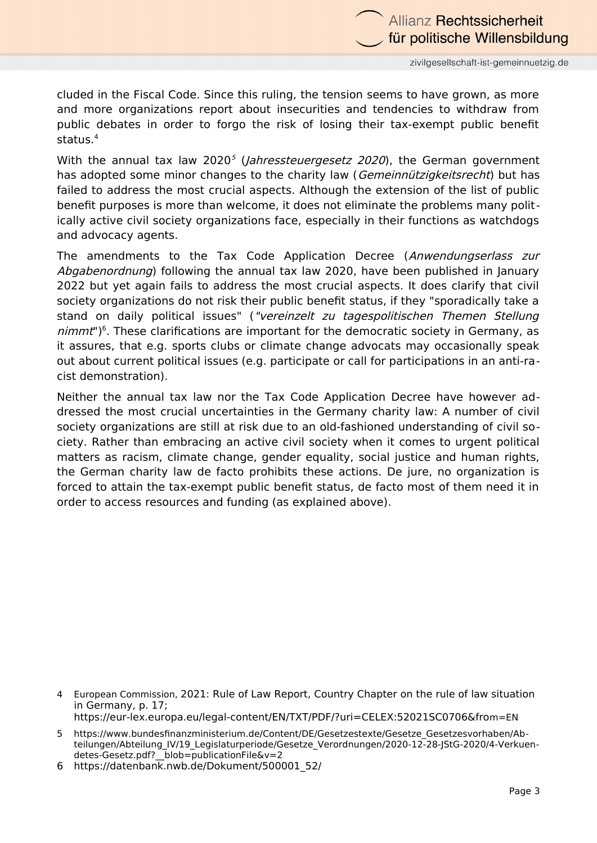zivilgesellschaft-ist-gemeinnuetzig.de

für politische Willensbildung

Allianz Rechtssicherheit

cluded in the Fiscal Code. Since this ruling, the tension seems to have grown, as more and more organizations report about insecurities and tendencies to withdraw from public debates in order to forgo the risk of losing their tax-exempt public benefit status.[4](#page-2-0)

With the annual tax law 2020<sup>[5](#page-2-1)</sup> (*Jahressteuergesetz 2020*), the German government has adopted some minor changes to the charity law (Gemeinnützigkeitsrecht) but has failed to address the most crucial aspects. Although the extension of the list of public benefit purposes is more than welcome, it does not eliminate the problems many politically active civil society organizations face, especially in their functions as watchdogs and advocacy agents.

The amendments to the Tax Code Application Decree (Anwendungserlass zur Abgabenordnung) following the annual tax law 2020, have been published in January 2022 but yet again fails to address the most crucial aspects. It does clarify that civil society organizations do not risk their public benefit status, if they "sporadically take a stand on daily political issues" ("vereinzelt zu tagespolitischen Themen Stellung nimmt")<sup>[6](#page-2-2)</sup>. These clarifications are important for the democratic society in Germany, as it assures, that e.g. sports clubs or climate change advocats may occasionally speak out about current political issues (e.g. participate or call for participations in an anti-racist demonstration).

Neither the annual tax law nor the Tax Code Application Decree have however addressed the most crucial uncertainties in the Germany charity law: A number of civil society organizations are still at risk due to an old-fashioned understanding of civil society. Rather than embracing an active civil society when it comes to urgent political matters as racism, climate change, gender equality, social justice and human rights, the German charity law de facto prohibits these actions. De jure, no organization is forced to attain the tax-exempt public benefit status, de facto most of them need it in order to access resources and funding (as explained above).

<span id="page-2-0"></span>4 European Commission, 2021: Rule of Law Report, Country Chapter on the rule of law situation in Germany, p. 17;

<span id="page-2-1"></span>https://eur-lex.europa.eu/legal-content/EN/TXT/PDF/?uri=CELEX:52021SC0706&from=EN

<sup>5</sup> https://www.bundesfinanzministerium.de/Content/DE/Gesetzestexte/Gesetze\_Gesetzesvorhaben/Abteilungen/Abteilung IV/19 Legislaturperiode/Gesetze Verordnungen/2020-12-28-JStG-2020/4-Verkuendetes-Gesetz.pdf? blob=publicationFile&v=2

<span id="page-2-2"></span><sup>6</sup> https://datenbank.nwb.de/Dokument/500001\_52/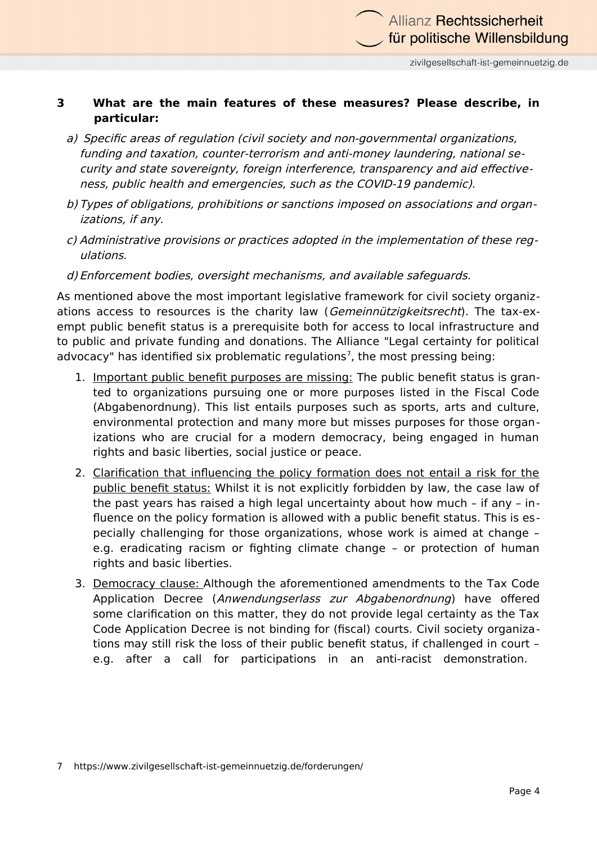#### **3 What are the main features of these measures? Please describe, in particular:**

- a) Specific areas of regulation (civil society and non-governmental organizations, funding and taxation, counter-terrorism and anti-money laundering, national security and state sovereignty, foreign interference, transparency and aid effectiveness, public health and emergencies, such as the COVID-19 pandemic).
- b) Types of obligations, prohibitions or sanctions imposed on associations and organizations, if any.
- c) Administrative provisions or practices adopted in the implementation of these regulations.
- d) Enforcement bodies, oversight mechanisms, and available safeguards.

As mentioned above the most important legislative framework for civil society organizations access to resources is the charity law (Gemeinnützigkeitsrecht). The tax-exempt public benefit status is a prerequisite both for access to local infrastructure and to public and private funding and donations. The Alliance "Legal certainty for political advocacy" has identified six problematic regulations<sup>[7](#page-3-0)</sup>, the most pressing being:

- 1. Important public benefit purposes are missing: The public benefit status is granted to organizations pursuing one or more purposes listed in the Fiscal Code (Abgabenordnung). This list entails purposes such as sports, arts and culture, environmental protection and many more but misses purposes for those organizations who are crucial for a modern democracy, being engaged in human rights and basic liberties, social justice or peace.
- 2. Clarification that influencing the policy formation does not entail a risk for the public benefit status: Whilst it is not explicitly forbidden by law, the case law of the past years has raised a high legal uncertainty about how much – if any – influence on the policy formation is allowed with a public benefit status. This is especially challenging for those organizations, whose work is aimed at change – e.g. eradicating racism or fighting climate change – or protection of human rights and basic liberties.
- <span id="page-3-0"></span>3. Democracy clause: Although the aforementioned amendments to the Tax Code Application Decree (Anwendungserlass zur Abgabenordnung) have offered some clarification on this matter, they do not provide legal certainty as the Tax Code Application Decree is not binding for (fiscal) courts. Civil society organizations may still risk the loss of their public benefit status, if challenged in court – e.g. after a call for participations in an anti-racist demonstration.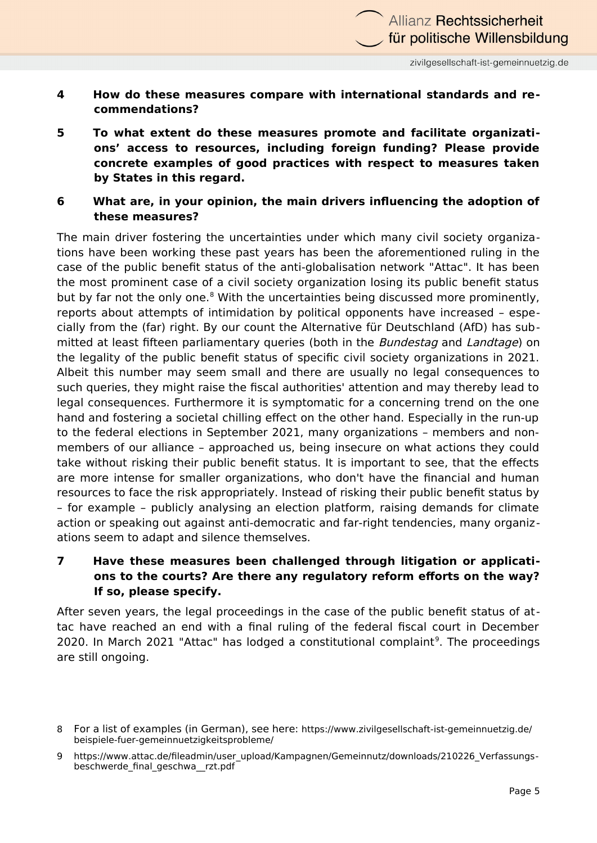- **4 How do these measures compare with international standards and recommendations?**
- **5 To what extent do these measures promote and facilitate organizations' access to resources, including foreign funding? Please provide concrete examples of good practices with respect to measures taken by States in this regard.**
- **6 What are, in your opinion, the main drivers influencing the adoption of these measures?**

The main driver fostering the uncertainties under which many civil society organizations have been working these past years has been the aforementioned ruling in the case of the public benefit status of the anti-globalisation network "Attac". It has been the most prominent case of a civil society organization losing its public benefit status but by far not the only one.<sup>[8](#page-4-0)</sup> With the uncertainties being discussed more prominently, reports about attempts of intimidation by political opponents have increased – especially from the (far) right. By our count the Alternative für Deutschland (AfD) has submitted at least fifteen parliamentary queries (both in the Bundestag and Landtage) on the legality of the public benefit status of specific civil society organizations in 2021. Albeit this number may seem small and there are usually no legal consequences to such queries, they might raise the fiscal authorities' attention and may thereby lead to legal consequences. Furthermore it is symptomatic for a concerning trend on the one hand and fostering a societal chilling effect on the other hand. Especially in the run-up to the federal elections in September 2021, many organizations – members and nonmembers of our alliance – approached us, being insecure on what actions they could take without risking their public benefit status. It is important to see, that the effects are more intense for smaller organizations, who don't have the financial and human resources to face the risk appropriately. Instead of risking their public benefit status by – for example – publicly analysing an election platform, raising demands for climate action or speaking out against anti-democratic and far-right tendencies, many organizations seem to adapt and silence themselves.

#### **7 Have these measures been challenged through litigation or applications to the courts? Are there any regulatory reform efforts on the way? If so, please specify.**

After seven years, the legal proceedings in the case of the public benefit status of attac have reached an end with a final ruling of the federal fiscal court in December 2020. In March 2021 "Attac" has lodged a constitutional complaint<sup>[9](#page-4-1)</sup>. The proceedings are still ongoing.

<span id="page-4-0"></span><sup>8</sup> For a list of examples (in German), see here: https://www.zivilgesellschaft-ist-gemeinnuetzig.de/ beispiele-fuer-gemeinnuetzigkeitsprobleme/

<span id="page-4-1"></span><sup>9</sup> https://www.attac.de/fileadmin/user\_upload/Kampagnen/Gemeinnutz/downloads/210226\_Verfassungsbeschwerde\_final\_geschwa\_\_rzt.pdf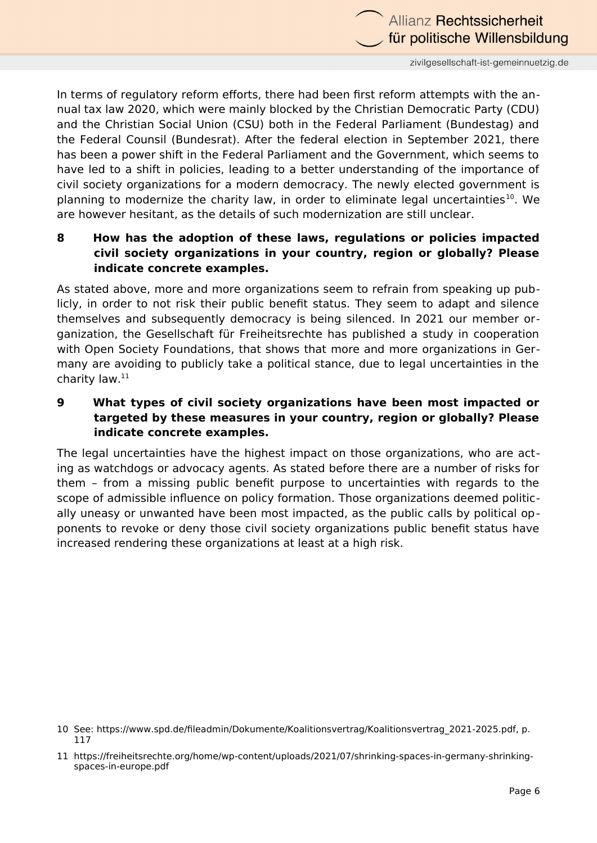

zivilgesellschaft-ist-gemeinnuetzig.de

In terms of regulatory reform efforts, there had been first reform attempts with the annual tax law 2020, which were mainly blocked by the Christian Democratic Party (CDU) and the Christian Social Union (CSU) both in the Federal Parliament (Bundestag) and the Federal Counsil (Bundesrat). After the federal election in September 2021, there has been a power shift in the Federal Parliament and the Government, which seems to have led to a shift in policies, leading to a better understanding of the importance of civil society organizations for a modern democracy. The newly elected government is planning to modernize the charity law, in order to eliminate legal uncertainties<sup>[10](#page-5-0)</sup>. We are however hesitant, as the details of such modernization are still unclear.

#### **8 How has the adoption of these laws, regulations or policies impacted civil society organizations in your country, region or globally? Please indicate concrete examples.**

As stated above, more and more organizations seem to refrain from speaking up publicly, in order to not risk their public benefit status. They seem to adapt and silence themselves and subsequently democracy is being silenced. In 2021 our member organization, the Gesellschaft für Freiheitsrechte has published a study in cooperation with Open Society Foundations, that shows that more and more organizations in Germany are avoiding to publicly take a political stance, due to legal uncertainties in the charity law.[11](#page-5-1)

#### **9 What types of civil society organizations have been most impacted or targeted by these measures in your country, region or globally? Please indicate concrete examples.**

The legal uncertainties have the highest impact on those organizations, who are acting as watchdogs or advocacy agents. As stated before there are a number of risks for them – from a missing public benefit purpose to uncertainties with regards to the scope of admissible influence on policy formation. Those organizations deemed politically uneasy or unwanted have been most impacted, as the public calls by political opponents to revoke or deny those civil society organizations public benefit status have increased rendering these organizations at least at a high risk.

<span id="page-5-0"></span><sup>10</sup> See: https://www.spd.de/fileadmin/Dokumente/Koalitionsvertrag/Koalitionsvertrag\_2021-2025.pdf, p. 117

<span id="page-5-1"></span><sup>11</sup> https://freiheitsrechte.org/home/wp-content/uploads/2021/07/shrinking-spaces-in-germany-shrinkingspaces-in-europe.pdf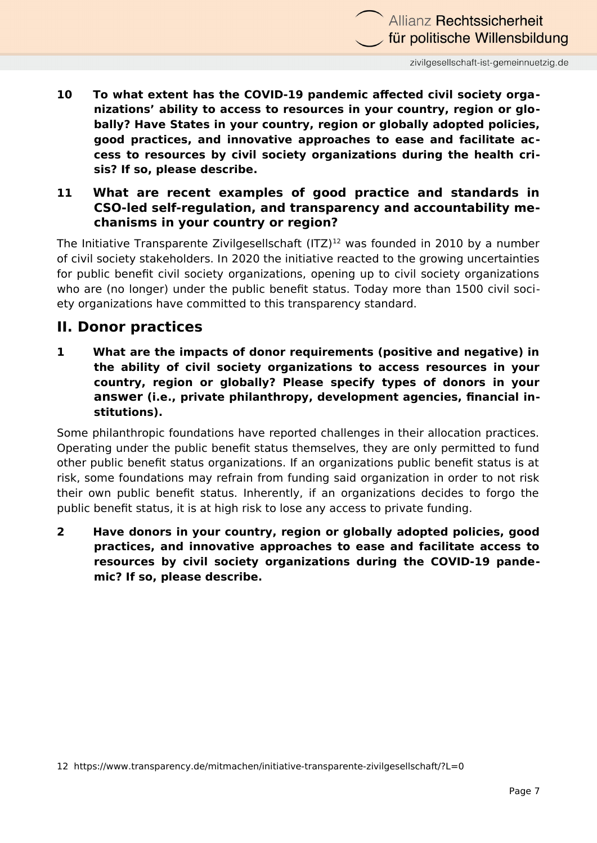**10 To what extent has the COVID-19 pandemic affected civil society organizations' ability to access to resources in your country, region or globally? Have States in your country, region or globally adopted policies, good practices, and innovative approaches to ease and facilitate access to resources by civil society organizations during the health crisis? If so, please describe.**

#### **11 What are recent examples of good practice and standards in CSO-led self-regulation, and transparency and accountability mechanisms in your country or region?**

The Initiative Transparente Zivilgesellschaft  $(ITZ)^{12}$  $(ITZ)^{12}$  $(ITZ)^{12}$  was founded in 2010 by a number of civil society stakeholders. In 2020 the initiative reacted to the growing uncertainties for public benefit civil society organizations, opening up to civil society organizations who are (no longer) under the public benefit status. Today more than 1500 civil society organizations have committed to this transparency standard.

## **II. Donor practices**

**1 What are the impacts of donor requirements (positive and negative) in the ability of civil society organizations to access resources in your country, region or globally? Please specify types of donors in your answer (i.e., private philanthropy, development agencies, financial institutions).**

Some philanthropic foundations have reported challenges in their allocation practices. Operating under the public benefit status themselves, they are only permitted to fund other public benefit status organizations. If an organizations public benefit status is at risk, some foundations may refrain from funding said organization in order to not risk their own public benefit status. Inherently, if an organizations decides to forgo the public benefit status, it is at high risk to lose any access to private funding.

<span id="page-6-0"></span>**2 Have donors in your country, region or globally adopted policies, good practices, and innovative approaches to ease and facilitate access to resources by civil society organizations during the COVID-19 pandemic? If so, please describe.**